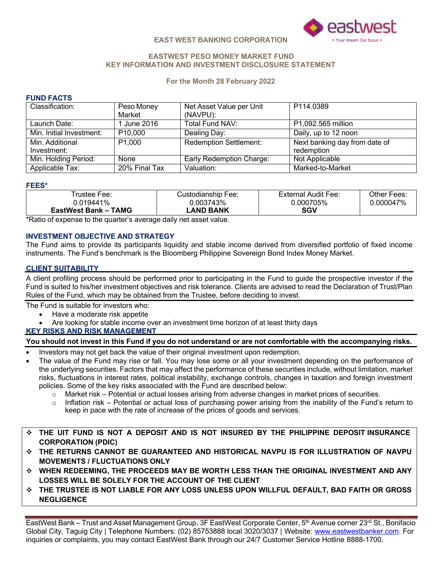

#### **EASTWEST PESO MONEY MARKET FUND KEY INFORMATION AND INVESTMENT DISCLOSURE STATEMENT**

#### **For the Month 28 February 2022**

#### **FUND FACTS**

| Classification:          | Peso Money           | Net Asset Value per Unit      | P114.0389                     |
|--------------------------|----------------------|-------------------------------|-------------------------------|
|                          | Market               | (NAVPU):                      |                               |
| Launch Date:             | l June 2016          | Total Fund NAV:               | P1,092.565 million            |
| Min. Initial Investment: | P <sub>10</sub> ,000 | Dealing Day:                  | Daily, up to 12 noon          |
| Min. Additional          | P <sub>1</sub> ,000  | <b>Redemption Settlement:</b> | Next banking day from date of |
| Investment:              |                      |                               | redemption                    |
| Min. Holding Period:     | None                 | Early Redemption Charge:      | Not Applicable                |
| Applicable Tax:          | 20% Final Tax        | Valuation:                    | Marked-to-Market              |

#### **FEES\***

| ⊺rustee Fee:         | Custodianship Fee: | External Audit Fee: | Other Fees: |
|----------------------|--------------------|---------------------|-------------|
| 0.019441%            | 0.003743%          | 0.000705%           | 0.000047%   |
| EastWest Bank – TAMG | LAND BANK          | SGV                 |             |

\*Ratio of expense to the quarter's average daily net asset value.

# **INVESTMENT OBJECTIVE AND STRATEGY**

The Fund aims to provide its participants liquidity and stable income derived from diversified portfolio of fixed income instruments. The Fund's benchmark is the Bloomberg Philippine Sovereign Bond Index Money Market.

#### **CLIENT SUITABILITY**

A client profiling process should be performed prior to participating in the Fund to guide the prospective investor if the Fund is suited to his/her investment objectives and risk tolerance. Clients are advised to read the Declaration of Trust/Plan Rules of the Fund, which may be obtained from the Trustee, before deciding to invest.

The Fund is suitable for investors who:

- Have a moderate risk appetite
- Are looking for stable income over an investment time horizon of at least thirty days
- **KEY RISKS AND RISK MANAGEMENT**

#### You should not invest in this Fund if you do not understand or are not comfortable with the accompanying risks.

- Investors may not get back the value of their original investment upon redemption.
- The value of the Fund may rise or fall. You may lose some or all your investment depending on the performance of the underlying securities. Factors that may affect the performance of these securities include, without limitation, market risks, fluctuations in interest rates, political instability, exchange controls, changes in taxation and foreign investment policies. Some of the key risks associated with the Fund are described below:
	- o Market risk Potential or actual losses arising from adverse changes in market prices of securities.
	- o Inflation risk Potential or actual loss of purchasing power arising from the inability of the Fund's return to keep in pace with the rate of increase of the prices of goods and services.
- v **THE UIT FUND IS NOT A DEPOSIT AND IS NOT INSURED BY THE PHILIPPINE DEPOSIT INSURANCE CORPORATION (PDIC)**
- v **THE RETURNS CANNOT BE GUARANTEED AND HISTORICAL NAVPU IS FOR ILLUSTRATION OF NAVPU MOVEMENTS / FLUCTUATIONS ONLY**
- v **WHEN REDEEMING, THE PROCEEDS MAY BE WORTH LESS THAN THE ORIGINAL INVESTMENT AND ANY LOSSES WILL BE SOLELY FOR THE ACCOUNT OF THE CLIENT**
- v **THE TRUSTEE IS NOT LIABLE FOR ANY LOSS UNLESS UPON WILLFUL DEFAULT, BAD FAITH OR GROSS NEGLIGENCE**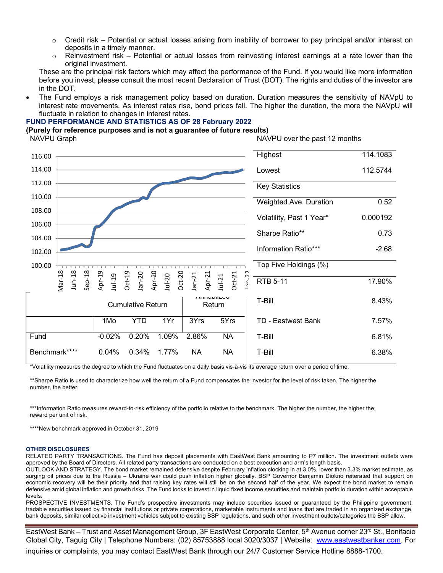- Credit risk Potential or actual losses arising from inability of borrower to pay principal and/or interest on deposits in a timely manner.
- o Reinvestment risk Potential or actual losses from reinvesting interest earnings at a rate lower than the original investment.

These are the principal risk factors which may affect the performance of the Fund. If you would like more information before you invest, please consult the most recent Declaration of Trust (DOT). The rights and duties of the investor are in the DOT.

• The Fund employs a risk management policy based on duration. Duration measures the sensitivity of NAVpU to interest rate movements. As interest rates rise, bond prices fall. The higher the duration, the more the NAVpU will fluctuate in relation to changes in interest rates.

#### **FUND PERFORMANCE AND STATISTICS AS OF 28 February 2022**

**(Purely for reference purposes and is not a guarantee of future results)**

| NAVPU Graph                           |                    |                          |                                |                    |                                  | NAVPU over the past 12 months |          |
|---------------------------------------|--------------------|--------------------------|--------------------------------|--------------------|----------------------------------|-------------------------------|----------|
| 116.00                                |                    |                          |                                |                    |                                  | Highest                       | 114.1083 |
| 114.00                                |                    |                          |                                |                    |                                  | Lowest                        | 112.5744 |
| 112.00                                |                    |                          |                                |                    |                                  | <b>Key Statistics</b>         |          |
| 110.00                                |                    |                          |                                |                    |                                  | Weighted Ave. Duration        | 0.52     |
| 108.00                                |                    |                          |                                |                    |                                  |                               |          |
| 106.00                                |                    |                          |                                |                    |                                  | Volatility, Past 1 Year*      | 0.000192 |
| 104.00                                |                    |                          |                                |                    |                                  | Sharpe Ratio**                | 0.73     |
| 102.00                                |                    |                          |                                |                    |                                  | Information Ratio***          | $-2.68$  |
| 100.00                                |                    |                          |                                |                    |                                  | Top Five Holdings (%)         |          |
| <b>Mar-18</b><br>$Jun-18$<br>$Sep-18$ | Apr-19<br>$Jul-19$ | $Oct-19$<br>$Jan-20$     | Apr-20<br>$Oct-20$<br>$Jul-20$ | Apr-21<br>$Jan-21$ | $C$ -acl<br>$Oct-21$<br>$Jul-21$ | <b>RTB 5-11</b>               | 17.90%   |
|                                       |                    | <b>Cumulative Return</b> |                                | <b>MITHUGHLOU</b>  | Return                           | T-Bill                        | 8.43%    |
|                                       | 1Mo                | <b>YTD</b>               | 1Yr                            | 3Yrs               | 5Yrs                             | <b>TD - Eastwest Bank</b>     | 7.57%    |
| Fund                                  | $-0.02%$           | 0.20%                    | 1.09%                          | 2.86%              | <b>NA</b>                        | T-Bill                        | 6.81%    |
| Benchmark****                         | 0.04%              | 0.34%                    | 1.77%                          | <b>NA</b>          | <b>NA</b>                        | T-Bill                        | 6.38%    |

\*Volatility measures the degree to which the Fund fluctuates on a daily basis vis-à-vis its average return over a period of time.

\*\*Sharpe Ratio is used to characterize how well the return of a Fund compensates the investor for the level of risk taken. The higher the number, the better.

\*\*\*Information Ratio measures reward-to-risk efficiency of the portfolio relative to the benchmark. The higher the number, the higher the reward per unit of risk.

\*\*\*\*New benchmark approved in October 31, 2019

#### **OTHER DISCLOSURES**

RELATED PARTY TRANSACTIONS. The Fund has deposit placements with EastWest Bank amounting to P7 million. The investment outlets were approved by the Board of Directors. All related party transactions are conducted on a best execution and arm's length basis.

OUTLOOK AND STRATEGY. The bond market remained defensive despite February inflation clocking in at 3.0%, lower than 3.3% market estimate, as surging oil prices due to the Russia – Ukraine war could push inflation higher globally. BSP Governor Benjamin Diokno reiterated that support on economic recovery will be their priority and that raising key rates will still be on the second half of the year. We expect the bond market to remain defensive amid global inflation and growth risks. The Fund looks to invest in liquid fixed income securities and maintain portfolio duration within acceptable levels.

PROSPECTIVE INVESTMENTS. The Fund's prospective investments may include securities issued or guaranteed by the Philippine government, tradable securities issued by financial institutions or private corporations, marketable instruments and loans that are traded in an organized exchange, bank deposits, similar collective investment vehicles subject to existing BSP regulations, and such other investment outlets/categories the BSP allow.

EastWest Bank – Trust and Asset Management Group, 3F EastWest Corporate Center, 5<sup>th</sup> Avenue corner 23<sup>rd</sup> St., Bonifacio Global City, Taguig City | Telephone Numbers: (02) 85753888 local 3020/3037 | Website: www.eastwestbanker.com. For

inquiries or complaints, you may contact EastWest Bank through our 24/7 Customer Service Hotline 8888-1700.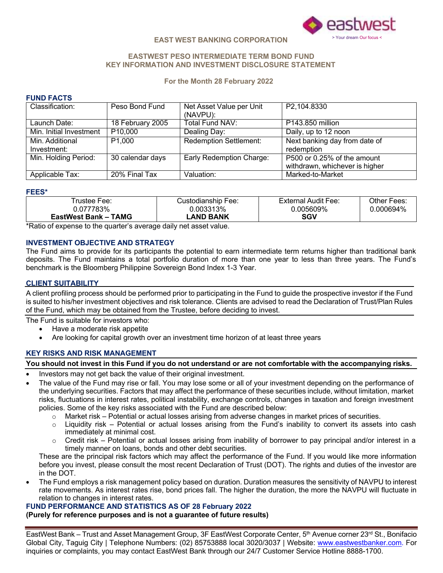

#### **EASTWEST PESO INTERMEDIATE TERM BOND FUND KEY INFORMATION AND INVESTMENT DISCLOSURE STATEMENT**

#### **For the Month 28 February 2022**

# **FUND FACTS**

| Classification:         | Peso Bond Fund      | Net Asset Value per Unit      | P2,104.8330                    |
|-------------------------|---------------------|-------------------------------|--------------------------------|
|                         |                     | (NAVPU):                      |                                |
| Launch Date:            | 18 February 2005    | Total Fund NAV:               | P143.850 million               |
| Min. Initial Investment | P <sub>10,000</sub> | Dealing Day:                  | Daily, up to 12 noon           |
| Min. Additional         | P <sub>1,000</sub>  | <b>Redemption Settlement:</b> | Next banking day from date of  |
| Investment:             |                     |                               | redemption                     |
| Min. Holding Period:    | 30 calendar days    | Early Redemption Charge:      | P500 or 0.25% of the amount    |
|                         |                     |                               | withdrawn, whichever is higher |
| Applicable Tax:         | 20% Final Tax       | Valuation:                    | Marked-to-Market               |

#### **FEES\***

| Trustee Fee:                | Custodianship Fee: | External Audit Fee: | Other Fees: |
|-----------------------------|--------------------|---------------------|-------------|
| 0.077783%                   | 0.003313%          | 0.005609%           | 0.000694%   |
| <b>EastWest Bank – TAMG</b> | LAND BANK          | SGV                 |             |

\*Ratio of expense to the quarter's average daily net asset value.

# **INVESTMENT OBJECTIVE AND STRATEGY**

The Fund aims to provide for its participants the potential to earn intermediate term returns higher than traditional bank deposits. The Fund maintains a total portfolio duration of more than one year to less than three years. The Fund's benchmark is the Bloomberg Philippine Sovereign Bond Index 1-3 Year.

#### **CLIENT SUITABILITY**

A client profiling process should be performed prior to participating in the Fund to guide the prospective investor if the Fund is suited to his/her investment objectives and risk tolerance. Clients are advised to read the Declaration of Trust/Plan Rules of the Fund, which may be obtained from the Trustee, before deciding to invest.

The Fund is suitable for investors who:

- Have a moderate risk appetite
- Are looking for capital growth over an investment time horizon of at least three years

# **KEY RISKS AND RISK MANAGEMENT**

# You should not invest in this Fund if you do not understand or are not comfortable with the accompanying risks.

- Investors may not get back the value of their original investment.
- The value of the Fund may rise or fall. You may lose some or all of your investment depending on the performance of the underlying securities. Factors that may affect the performance of these securities include, without limitation, market risks, fluctuations in interest rates, political instability, exchange controls, changes in taxation and foreign investment policies. Some of the key risks associated with the Fund are described below:
	- o Market risk Potential or actual losses arising from adverse changes in market prices of securities.
	- $\circ$  Liquidity risk Potential or actual losses arising from the Fund's inability to convert its assets into cash immediately at minimal cost.
	- $\circ$  Credit risk Potential or actual losses arising from inability of borrower to pay principal and/or interest in a timely manner on loans, bonds and other debt securities.

These are the principal risk factors which may affect the performance of the Fund. If you would like more information before you invest, please consult the most recent Declaration of Trust (DOT). The rights and duties of the investor are in the DOT.

• The Fund employs a risk management policy based on duration. Duration measures the sensitivity of NAVPU to interest rate movements. As interest rates rise, bond prices fall. The higher the duration, the more the NAVPU will fluctuate in relation to changes in interest rates.

# **FUND PERFORMANCE AND STATISTICS AS OF 28 February 2022**

**(Purely for reference purposes and is not a guarantee of future results)**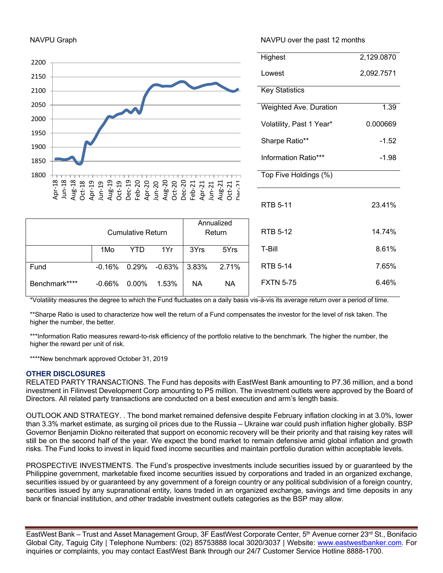# 2200 2150 2100 2050 2000 1950 1900 1850 1800  $\frac{89}{4}$   $\frac{89}{4}$   $\frac{89}{4}$   $\frac{89}{4}$   $\frac{89}{4}$   $\frac{89}{4}$   $\frac{89}{4}$   $\frac{89}{4}$   $\frac{89}{4}$   $\frac{89}{4}$   $\frac{89}{4}$   $\frac{89}{4}$   $\frac{89}{4}$   $\frac{89}{4}$   $\frac{89}{4}$   $\frac{89}{4}$   $\frac{89}{4}$   $\frac{89}{4}$   $\frac{89}{4}$   $\frac{89}{4}$  Dec-21

Cumulative Return

Fund -0.16% 0.29% -0.63% 3.83% 2.71%

1Mo YTD 1Yr 3Yrs 5Yrs

NAVPU Graph NAVPU over the past 12 months

| Highest                  | 2,129.0870 |
|--------------------------|------------|
| Lowest                   | 2,092.7571 |
| <b>Key Statistics</b>    |            |
| Weighted Ave. Duration   | 1.39       |
| Volatility, Past 1 Year* | 0.000669   |
| Sharpe Ratio**           | $-1.52$    |
| Information Ratio***     | -1.98      |
| Top Five Holdings (%)    |            |
| <b>RTB 5-11</b>          | 23.41%     |
| <b>RTB 5-12</b>          | 14.74%     |
| T-Bill                   | 8.61%      |
| RTR 5-14                 | 7.65%      |
| <b>FXTN 5-75</b>         | 6.46%      |

\*Volatility measures the degree to which the Fund fluctuates on a daily basis vis-à-vis its average return over a period of time.

Annualized Return

\*\*Sharpe Ratio is used to characterize how well the return of a Fund compensates the investor for the level of risk taken. The higher the number, the better.

\*\*\*Information Ratio measures reward-to-risk efficiency of the portfolio relative to the benchmark. The higher the number, the higher the reward per unit of risk.

\*\*\*\*New benchmark approved October 31, 2019

#### **OTHER DISCLOSURES**

RELATED PARTY TRANSACTIONS. The Fund has deposits with EastWest Bank amounting to P7.36 million, and a bond investment in Filinvest Development Corp amounting to P5 million. The investment outlets were approved by the Board of Directors. All related party transactions are conducted on a best execution and arm's length basis.

OUTLOOK AND STRATEGY. . The bond market remained defensive despite February inflation clocking in at 3.0%, lower than 3.3% market estimate, as surging oil prices due to the Russia – Ukraine war could push inflation higher globally. BSP Governor Benjamin Diokno reiterated that support on economic recovery will be their priority and that raising key rates will still be on the second half of the year. We expect the bond market to remain defensive amid global inflation and growth risks. The Fund looks to invest in liquid fixed income securities and maintain portfolio duration within acceptable levels.

PROSPECTIVE INVESTMENTS. The Fund's prospective investments include securities issued by or guaranteed by the Philippine government, marketable fixed income securities issued by corporations and traded in an organized exchange, securities issued by or guaranteed by any government of a foreign country or any political subdivision of a foreign country, securities issued by any supranational entity, loans traded in an organized exchange, savings and time deposits in any bank or financial institution, and other tradable investment outlets categories as the BSP may allow.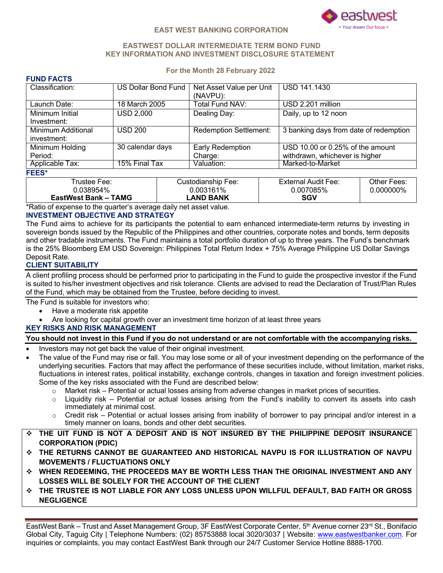

#### **EASTWEST DOLLAR INTERMEDIATE TERM BOND FUND KEY INFORMATION AND INVESTMENT DISCLOSURE STATEMENT**

#### **For the Month 28 February 2022**

| <b>FUND FACTS</b>  |                            |                               |                                        |
|--------------------|----------------------------|-------------------------------|----------------------------------------|
| Classification:    | <b>US Dollar Bond Fund</b> | Net Asset Value per Unit      | <b>USD 141.1430</b>                    |
|                    |                            | (NAVPU):                      |                                        |
| Launch Date:       | 18 March 2005              | Total Fund NAV:               | USD 2.201 million                      |
| Minimum Initial    | <b>USD 2,000</b>           | Dealing Day:                  | Daily, up to 12 noon                   |
| Investment:        |                            |                               |                                        |
| Minimum Additional | <b>USD 200</b>             | <b>Redemption Settlement:</b> | 3 banking days from date of redemption |
| investment:        |                            |                               |                                        |
| Minimum Holding    | 30 calendar days           | Early Redemption              | USD 10.00 or 0.25% of the amount       |
| Period:            |                            | Charge:                       | withdrawn, whichever is higher         |
| Applicable Tax:    | 15% Final Tax              | Valuation:                    | Marked-to-Market                       |
| <b>FEES*</b>       |                            |                               |                                        |
|                    |                            |                               |                                        |

| Trustee Fee:                | Custodianship Fee: | <b>External Audit Fee:</b> | Other Fees: |
|-----------------------------|--------------------|----------------------------|-------------|
| 0.038954%                   | 0.003161%          | 0.007085%                  | 0.000000%   |
| <b>EastWest Bank – TAMG</b> | -AND BANK          | SGV                        |             |

\*Ratio of expense to the quarter's average daily net asset value.

# **INVESTMENT OBJECTIVE AND STRATEGY**

The Fund aims to achieve for its participants the potential to earn enhanced intermediate-term returns by investing in sovereign bonds issued by the Republic of the Philippines and other countries, corporate notes and bonds, term deposits and other tradable instruments. The Fund maintains a total portfolio duration of up to three years. The Fund's benchmark is the 25% Bloomberg EM USD Sovereign: Philippines Total Return Index + 75% Average Philippine US Dollar Savings Deposit Rate.

# **CLIENT SUITABILITY**

A client profiling process should be performed prior to participating in the Fund to guide the prospective investor if the Fund is suited to his/her investment objectives and risk tolerance. Clients are advised to read the Declaration of Trust/Plan Rules of the Fund, which may be obtained from the Trustee, before deciding to invest.

The Fund is suitable for investors who:

- Have a moderate risk appetite
- Are looking for capital growth over an investment time horizon of at least three years

# **KEY RISKS AND RISK MANAGEMENT**

# You should not invest in this Fund if you do not understand or are not comfortable with the accompanying risks.

- Investors may not get back the value of their original investment.
- The value of the Fund may rise or fall. You may lose some or all of your investment depending on the performance of the underlying securities. Factors that may affect the performance of these securities include, without limitation, market risks, fluctuations in interest rates, political instability, exchange controls, changes in taxation and foreign investment policies. Some of the key risks associated with the Fund are described below:
	- o Market risk Potential or actual losses arising from adverse changes in market prices of securities.
	- o Liquidity risk Potential or actual losses arising from the Fund's inability to convert its assets into cash immediately at minimal cost.
	- $\circ$  Credit risk Potential or actual losses arising from inability of borrower to pay principal and/or interest in a timely manner on loans, bonds and other debt securities.
- v **THE UIT FUND IS NOT A DEPOSIT AND IS NOT INSURED BY THE PHILIPPINE DEPOSIT INSURANCE CORPORATION (PDIC)**
- v **THE RETURNS CANNOT BE GUARANTEED AND HISTORICAL NAVPU IS FOR ILLUSTRATION OF NAVPU MOVEMENTS / FLUCTUATIONS ONLY**
- v **WHEN REDEEMING, THE PROCEEDS MAY BE WORTH LESS THAN THE ORIGINAL INVESTMENT AND ANY LOSSES WILL BE SOLELY FOR THE ACCOUNT OF THE CLIENT**
- v **THE TRUSTEE IS NOT LIABLE FOR ANY LOSS UNLESS UPON WILLFUL DEFAULT, BAD FAITH OR GROSS NEGLIGENCE**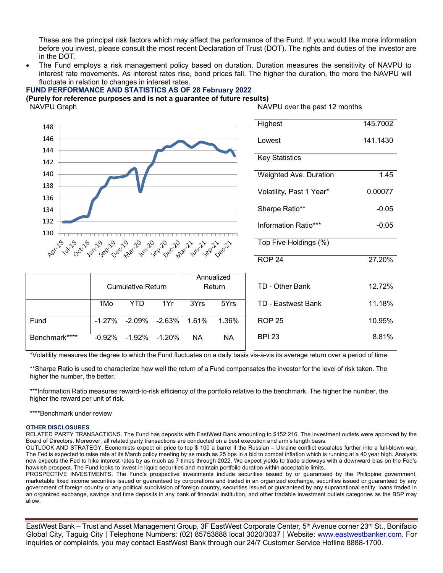These are the principal risk factors which may affect the performance of the Fund. If you would like more information before you invest, please consult the most recent Declaration of Trust (DOT). The rights and duties of the investor are in the DOT.

• The Fund employs a risk management policy based on duration. Duration measures the sensitivity of NAVPU to interest rate movements. As interest rates rise, bond prices fall. The higher the duration, the more the NAVPU will fluctuate in relation to changes in interest rates.

# **FUND PERFORMANCE AND STATISTICS AS OF 28 February 2022**

Benchmark\*\*\*\* -0.92% -1.92% -1.20% NA NA

#### **(Purely for reference purposes and is not a guarantee of future results)**

NAVPU Graph

NAVPU over the past 12 months

BPI 23 8.81%

| 148                                                    |          |                          |          |            |        | Highest                   | 145.7002 |
|--------------------------------------------------------|----------|--------------------------|----------|------------|--------|---------------------------|----------|
| 146                                                    |          |                          |          |            |        | Lowest                    | 141.1430 |
| 144                                                    |          |                          |          |            |        | <b>Key Statistics</b>     |          |
| 142                                                    |          |                          |          |            |        |                           |          |
| 140                                                    |          |                          |          |            |        | Weighted Ave. Duration    | 1.45     |
| 138<br>136                                             |          |                          |          |            |        | Volatility, Past 1 Year*  | 0.00077  |
| 134                                                    |          |                          |          |            |        | Sharpe Ratio**            | $-0.05$  |
| 132                                                    |          |                          |          |            |        | Information Ratio***      | $-0.05$  |
| 130<br>AP 19 19 19 19 19 19 19 19 19 19 19 17 17 18 17 |          |                          |          |            |        | Top Five Holdings (%)     |          |
|                                                        |          |                          |          |            |        | ROP <sub>24</sub>         | 27.20%   |
|                                                        |          |                          |          | Annualized |        |                           |          |
|                                                        |          | <b>Cumulative Return</b> |          |            | Return | TD - Other Bank           | 12.72%   |
|                                                        | 1Mo      | <b>YTD</b>               | 1Yr      | 3Yrs       | 5Yrs   | <b>TD - Eastwest Bank</b> | 11.18%   |
| Fund                                                   | $-1.27%$ | $-2.09%$                 | $-2.63%$ | 1.61%      | 1.36%  | <b>ROP 25</b>             | 10.95%   |
|                                                        |          |                          |          |            |        |                           |          |

\*Volatility measures the degree to which the Fund fluctuates on a daily basis vis-à-vis its average return over a period of time.

\*\*Sharpe Ratio is used to characterize how well the return of a Fund compensates the investor for the level of risk taken. The higher the number, the better.

\*\*\*Information Ratio measures reward-to-risk efficiency of the portfolio relative to the benchmark. The higher the number, the higher the reward per unit of risk.

\*\*\*\*Benchmark under review

#### **OTHER DISCLOSURES**

RELATED PARTY TRANSACTIONS. The Fund has deposits with EastWest Bank amounting to \$152,216. The investment outlets were approved by the Board of Directors. Moreover, all related party transactions are conducted on a best execution and arm's length basis.

OUTLOOK AND STRATEGY. Economists expect oil price to top \$ 100 a barrel if the Russian – Ukraine conflict escalates further into a full-blown war. The Fed is expected to raise rate at its March policy meeting by as much as 25 bps in a bid to combat inflation which is running at a 40 year high. Analysts now expects the Fed to hike interest rates by as much as 7 times through 2022. We expect yields to trade sideways with a downward bias on the Fed's hawkish prospect. The Fund looks to invest in liquid securities and maintain portfolio duration within acceptable limits.

PROSPECTIVE INVESTMENTS. The Fund's prospective investments include securities issued by or guaranteed by the Philippine government, marketable fixed income securities issued or guaranteed by corporations and traded in an organized exchange, securities issued or guaranteed by any government of foreign country or any political subdivision of foreign country, securities issued or guaranteed by any supranational entity, loans traded in an organized exchange, savings and time deposits in any bank of financial institution, and other tradable investment outlets categories as the BSP may allow.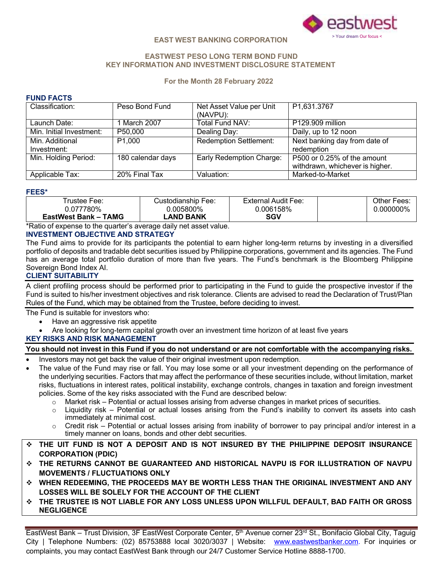

# **EASTWEST PESO LONG TERM BOND FUND KEY INFORMATION AND INVESTMENT DISCLOSURE STATEMENT**

#### **For the Month 28 February 2022**

# **FUND FACTS**

| Classification:          | Peso Bond Fund     | Net Asset Value per Unit<br>(NAVPU): | P1,631.3767                     |
|--------------------------|--------------------|--------------------------------------|---------------------------------|
| Launch Date:             | March 2007         | Total Fund NAV:                      | P129.909 million                |
| Min. Initial Investment: | P50,000            | Dealing Day:                         | Daily, up to 12 noon            |
| Min. Additional          | P <sub>1,000</sub> | <b>Redemption Settlement:</b>        | Next banking day from date of   |
| Investment:              |                    |                                      | redemption                      |
| Min. Holding Period:     | 180 calendar days  | Early Redemption Charge:             | P500 or 0.25% of the amount     |
|                          |                    |                                      | withdrawn, whichever is higher. |
| Applicable Tax:          | 20% Final Tax      | Valuation:                           | Marked-to-Market                |

#### **FEES\***

| Trustee Fee:         | Custodianship Fee: | External Audit Fee: | Other Fees: |
|----------------------|--------------------|---------------------|-------------|
| 0.077780%            | 0.005800%          | 0.006158%           | 0.000000%   |
| EastWest Bank - TAMG | LAND BANK          | <b>SGV</b>          |             |

\*Ratio of expense to the quarter's average daily net asset value.

# **INVESTMENT OBJECTIVE AND STRATEGY**

The Fund aims to provide for its participants the potential to earn higher long-term returns by investing in a diversified portfolio of deposits and tradable debt securities issued by Philippine corporations, government and its agencies. The Fund has an average total portfolio duration of more than five years. The Fund's benchmark is the Bloomberg Philippine Sovereign Bond Index AI.

# **CLIENT SUITABILITY**

A client profiling process should be performed prior to participating in the Fund to guide the prospective investor if the Fund is suited to his/her investment objectives and risk tolerance. Clients are advised to read the Declaration of Trust/Plan Rules of the Fund, which may be obtained from the Trustee, before deciding to invest.

The Fund is suitable for investors who:

- Have an aggressive risk appetite
- Are looking for long-term capital growth over an investment time horizon of at least five years

# **KEY RISKS AND RISK MANAGEMENT**

# You should not invest in this Fund if you do not understand or are not comfortable with the accompanying risks.

- Investors may not get back the value of their original investment upon redemption.
- The value of the Fund may rise or fall. You may lose some or all your investment depending on the performance of the underlying securities. Factors that may affect the performance of these securities include, without limitation, market risks, fluctuations in interest rates, political instability, exchange controls, changes in taxation and foreign investment policies. Some of the key risks associated with the Fund are described below:
	- o Market risk Potential or actual losses arising from adverse changes in market prices of securities.
	- o Liquidity risk Potential or actual losses arising from the Fund's inability to convert its assets into cash immediately at minimal cost.
	- Credit risk Potential or actual losses arising from inability of borrower to pay principal and/or interest in a timely manner on loans, bonds and other debt securities.
- v **THE UIT FUND IS NOT A DEPOSIT AND IS NOT INSURED BY THE PHILIPPINE DEPOSIT INSURANCE CORPORATION (PDIC)**
- v **THE RETURNS CANNOT BE GUARANTEED AND HISTORICAL NAVPU IS FOR ILLUSTRATION OF NAVPU MOVEMENTS / FLUCTUATIONS ONLY**
- v **WHEN REDEEMING, THE PROCEEDS MAY BE WORTH LESS THAN THE ORIGINAL INVESTMENT AND ANY LOSSES WILL BE SOLELY FOR THE ACCOUNT OF THE CLIENT**
- v **THE TRUSTEE IS NOT LIABLE FOR ANY LOSS UNLESS UPON WILLFUL DEFAULT, BAD FAITH OR GROSS NEGLIGENCE**

complaints, you may contact EastWest Bank through our 24/7 Customer Service Hotline 8888-1700. EastWest Bank – Trust Division, 3F EastWest Corporate Center, 5<sup>th</sup> Avenue corner 23<sup>rd</sup> St., Bonifacio Global City, Taguig City | Telephone Numbers: (02) 85753888 local 3020/3037 | Website: www.eastwestbanker.com. For inquiries or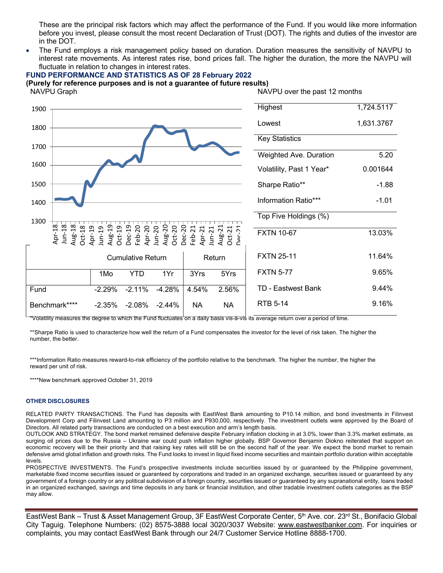These are the principal risk factors which may affect the performance of the Fund. If you would like more information before you invest, please consult the most recent Declaration of Trust (DOT). The rights and duties of the investor are in the DOT.

• The Fund employs a risk management policy based on duration. Duration measures the sensitivity of NAVPU to interest rate movements. As interest rates rise, bond prices fall. The higher the duration, the more the NAVPU will fluctuate in relation to changes in interest rates.

#### **FUND PERFORMANCE AND STATISTICS AS OF 28 February 2022**

**(Purely for reference purposes and is not a guarantee of future results)**

Annualized 1500 1400 1300 Cumulative Return | Return 1Mo YTD 1Yr 3Yrs 5Yrs Fund -2.29% -2.11% -4.28% 4.54% 2.56% Benchmark\*\*\*\* -2.35% -2.08% -2.44% NA NA Volatility, Past 1 Year\* 0.001644 Sharpe Ratio\*\* The Contract of the Sharpe Ratio Information Ratio\*\*\* Fig. 01 Top Five Holdings (%) FXTN 10-67 13.03% FXTN 25-11 11.64% FXTN 5-77 9.65% TD - Eastwest Bank 9.44% RTB 5-14 9.16% Apr-18 Jun-18 Aug-18 Oct-18 Apr-19 Jun-19 Aug-19 Oct-19 Dec-19 Feb-20 Apr-20 Jun-20 Aug-20 Oct-20 Dec-20 Feb-21 Apr-21 Jun-21 Aug-21 Oct-21 Dec-21 NAVPU Graph NAVPU over the past 12 months 1900  $\overline{ }$  Highest 1,724.5117 1800 Lowest 1,631.3767 Key Statistics 1700 Weighted Ave. Duration 5.20 1600

 $^\star$ Volatility measures the degree to which the Fund fluctuates on a daily basis vis-à-vis its average return over a period of time.

\*\*Sharpe Ratio is used to characterize how well the return of a Fund compensates the investor for the level of risk taken. The higher the number, the better.

\*\*\*Information Ratio measures reward-to-risk efficiency of the portfolio relative to the benchmark. The higher the number, the higher the reward per unit of risk.

\*\*\*\*New benchmark approved October 31, 2019

#### **OTHER DISCLOSURES**

RELATED PARTY TRANSACTIONS. The Fund has deposits with EastWest Bank amounting to P10.14 million, and bond investments in Filinvest Development Corp and Filinvest Land amounting to P3 million and P930,000, respectively. The investment outlets were approved by the Board of Directors. All related party transactions are conducted on a best execution and arm's length basis.

OUTLOOK AND STRATEGY. The bond market remained defensive despite February inflation clocking in at 3.0%, lower than 3.3% market estimate, as surging oil prices due to the Russia – Ukraine war could push inflation higher globally. BSP Governor Benjamin Diokno reiterated that support on economic recovery will be their priority and that raising key rates will still be on the second half of the year. We expect the bond market to remain defensive amid global inflation and growth risks. The Fund looks to invest in liquid fixed income securities and maintain portfolio duration within acceptable levels.

PROSPECTIVE INVESTMENTS. The Fund's prospective investments include securities issued by or guaranteed by the Philippine government, marketable fixed income securities issued or guaranteed by corporations and traded in an organized exchange, securities issued or guaranteed by any government of a foreign country or any political subdivision of a foreign country, securities issued or guaranteed by any supranational entity, loans traded in an organized exchanged, savings and time deposits in any bank or financial institution, and other tradable investment outlets categories as the BSP may allow.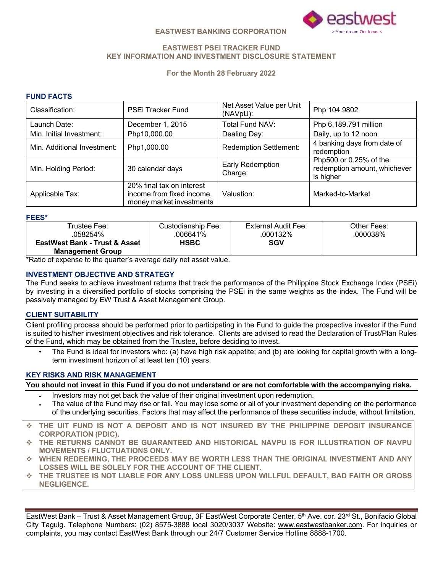

#### **EASTWEST BANKING CORPORATION** > Your dream Our focus

# **EASTWEST PSEI TRACKER FUND KEY INFORMATION AND INVESTMENT DISCLOSURE STATEMENT**

# **For the Month 28 February 2022**

# **FUND FACTS**

| Classification:             | <b>PSEi Tracker Fund</b>                                                           | Net Asset Value per Unit<br>(NAVpU): | Php 104.9802                                                        |
|-----------------------------|------------------------------------------------------------------------------------|--------------------------------------|---------------------------------------------------------------------|
| Launch Date:                | December 1, 2015                                                                   | Total Fund NAV:                      | Php 6,189.791 million                                               |
| Min. Initial Investment:    | Php10,000.00                                                                       | Dealing Day:                         | Daily, up to 12 noon                                                |
| Min. Additional Investment: | Php1,000.00                                                                        | <b>Redemption Settlement:</b>        | 4 banking days from date of<br>redemption                           |
| Min. Holding Period:        | 30 calendar days                                                                   | Early Redemption<br>Charge:          | Php500 or 0.25% of the<br>redemption amount, whichever<br>is higher |
| Applicable Tax:             | 20% final tax on interest<br>income from fixed income,<br>money market investments | Valuation:                           | Marked-to-Market                                                    |

**FEES\***

| .                                        |                    |                     |             |
|------------------------------------------|--------------------|---------------------|-------------|
| Trustee Fee∶                             | Custodianship Fee: | External Audit Fee: | Other Fees: |
| .058254%                                 | 006641%            | .000132%            | .000038%    |
| <b>EastWest Bank - Trust &amp; Asset</b> | <b>HSBC</b>        | SGV                 |             |
| <b>Management Group</b>                  |                    |                     |             |

\*Ratio of expense to the quarter's average daily net asset value.

# **INVESTMENT OBJECTIVE AND STRATEGY**

The Fund seeks to achieve investment returns that track the performance of the Philippine Stock Exchange Index (PSEi) by investing in a diversified portfolio of stocks comprising the PSEi in the same weights as the index. The Fund will be passively managed by EW Trust & Asset Management Group.

# **CLIENT SUITABILITY**

Client profiling process should be performed prior to participating in the Fund to guide the prospective investor if the Fund is suited to his/her investment objectives and risk tolerance. Clients are advised to read the Declaration of Trust/Plan Rules of the Fund, which may be obtained from the Trustee, before deciding to invest.

The Fund is ideal for investors who: (a) have high risk appetite; and (b) are looking for capital growth with a longterm investment horizon of at least ten (10) years.

# **KEY RISKS AND RISK MANAGEMENT**

You should not invest in this Fund if you do not understand or are not comfortable with the accompanying risks.

- Investors may not get back the value of their original investment upon redemption.
- The value of the Fund may rise or fall. You may lose some or all of your investment depending on the performance of the underlying securities. Factors that may affect the performance of these securities include, without limitation,
- v **THE UIT FUND IS NOT A DEPOSIT AND IS NOT INSURED BY THE PHILIPPINE DEPOSIT INSURANCE CORPORATION (PDIC).**
- v **THE RETURNS CANNOT BE GUARANTEED AND HISTORICAL NAVPU IS FOR ILLUSTRATION OF NAVPU MOVEMENTS / FLUCTUATIONS ONLY.**
- v **WHEN REDEEMING, THE PROCEEDS MAY BE WORTH LESS THAN THE ORIGINAL INVESTMENT AND ANY LOSSES WILL BE SOLELY FOR THE ACCOUNT OF THE CLIENT.**
- v **THE TRUSTEE IS NOT LIABLE FOR ANY LOSS UNLESS UPON WILLFUL DEFAULT, BAD FAITH OR GROSS NEGLIGENCE.**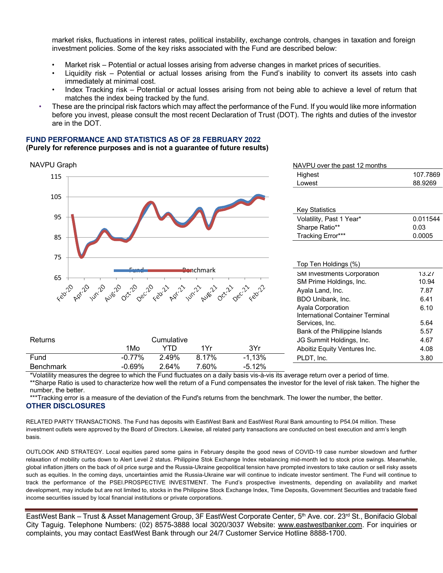market risks, fluctuations in interest rates, political instability, exchange controls, changes in taxation and foreign investment policies. Some of the key risks associated with the Fund are described below:

- Market risk Potential or actual losses arising from adverse changes in market prices of securities.
- Liquidity risk Potential or actual losses arising from the Fund's inability to convert its assets into cash immediately at minimal cost.
- Index Tracking risk Potential or actual losses arising from not being able to achieve a level of return that matches the index being tracked by the fund.
- These are the principal risk factors which may affect the performance of the Fund. If you would like more information before you invest, please consult the most recent Declaration of Trust (DOT). The rights and duties of the investor are in the DOT.

#### **FUND PERFORMANCE AND STATISTICS AS OF 28 FEBRUARY 2022 (Purely for reference purposes and is not a guarantee of future results)**

#### nchmark NAVPU Graph NAVPU over the past 12 months 115 105 95 85 Highest 107.7869 Lowest 88.9269 Key Statistics Volatility, Past 1 Year\* 0.011544 Sharpe Ratio\*\* 0.03 Tracking Error\*\*\* 0.0005 75 Top Ten Holdings (%) 65 SM Investments Corporation<br>  $xe^{x^2} - x^{x^3} - x^{x^2} - x^{x^2} - x^{x^3} - x^{x^2} - x^{x^2} - x^{x^2} - x^{x^2} - x^{x^2} - x^{x^2} - x^{x^2} - x^{x^2} - x^{x^2} - x^{x^2} - x^{x^2} - x^{x^2} - x^{x^2} - x^{x^2} - x^{x^2} - x^{x^2} - x^{x^2} - x^{x^2} - x^{x^2} - x^{x^2} - x^{x^2} - x^{x^2}$ SM Prime Holdings, Inc. 13.27 10.94 Ayala Land, Inc. 2008) 7.87 BDO Unibank, Inc. 6.41 Ayala Corporation International Container Terminal Services, Inc. 6.10 5.64 Bank of the Philippine Islands 5.57 Returns **Cumulative Cumulative Cumulative** JG Summit Holdings, Inc. 4.67 1Mo YTD 1Yr 3Yr Aboitiz Equity Ventures Inc. 4.08 Fund -0.77% 2.49% 8.17% -1,13% PLDT, Inc. 3.80 Benchmark -0.69% 2.64% 7.60% -5.12%

\*Volatility measures the degree to which the Fund fluctuates on a daily basis vis-à-vis its average return over a period of time. \*\*Sharpe Ratio is used to characterize how well the return of a Fund compensates the investor for the level of risk taken. The higher the number, the better.

\*\*\*Tracking error is a measure of the deviation of the Fund's returns from the benchmark. The lower the number, the better. **OTHER DISCLOSURES**

RELATED PARTY TRANSACTIONS. The Fund has deposits with EastWest Bank and EastWest Rural Bank amounting to P54.04 million. These investment outlets were approved by the Board of Directors. Likewise, all related party transactions are conducted on best execution and arm's length basis.

OUTLOOK AND STRATEGY. Local equities pared some gains in February despite the good news of COVID-19 case number slowdown and further relaxation of mobility curbs down to Alert Level 2 status. Philippine Stok Exchange Index rebalancing mid-month led to stock price swings. Meanwhile, global inflation jitters on the back of oil price surge and the Russia-Ukraine geopolitical tension have prompted investors to take caution or sell risky assets such as equities. In the coming days, uncertainties amid the Russia-Ukraine war will continue to indicate investor sentiment. The Fund will continue to track the performance of the PSEI.PROSPECTIVE INVESTMENT. The Fund's prospective investments, depending on availability and market development, may include but are not limited to, stocks in the Philippine Stock Exchange Index, Time Deposits, Government Securities and tradable fixed income securities issued by local financial institutions or private corporations.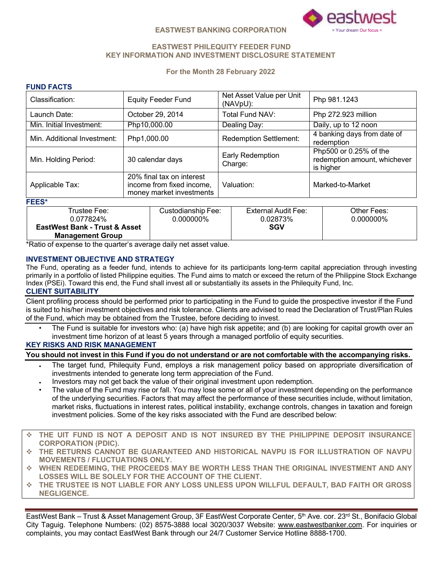

# **EASTWEST PHILEQUITY FEEDER FUND KEY INFORMATION AND INVESTMENT DISCLOSURE STATEMENT**

# **For the Month 28 February 2022**

# **FUND FACTS**

| Classification:                          |                  | <b>Equity Feeder Fund</b>                                                          |                        | Net Asset Value per Unit<br>(NAVpU): |                                           | Php 981.1243                                                        |  |
|------------------------------------------|------------------|------------------------------------------------------------------------------------|------------------------|--------------------------------------|-------------------------------------------|---------------------------------------------------------------------|--|
| Launch Date:                             |                  | October 29, 2014                                                                   | <b>Total Fund NAV:</b> |                                      |                                           | Php 272.923 million                                                 |  |
| Min. Initial Investment:                 |                  | Php10,000.00                                                                       | Dealing Day:           |                                      |                                           | Daily, up to 12 noon                                                |  |
| Min. Additional Investment:              | Php1,000.00      | <b>Redemption Settlement:</b>                                                      |                        |                                      | 4 banking days from date of<br>redemption |                                                                     |  |
| Min. Holding Period:                     | 30 calendar days |                                                                                    |                        | Early Redemption<br>Charge:          |                                           | Php500 or 0.25% of the<br>redemption amount, whichever<br>is higher |  |
| Applicable Tax:                          |                  | 20% final tax on interest<br>income from fixed income,<br>money market investments |                        | Valuation:                           |                                           | Marked-to-Market                                                    |  |
| <b>FEES*</b>                             |                  |                                                                                    |                        |                                      |                                           |                                                                     |  |
| Trustee Fee:                             |                  | Custodianship Fee:                                                                 |                        | External Audit Fee:                  |                                           | Other Fees:                                                         |  |
| 0.077824%                                |                  | $0.000000\%$                                                                       | 0.02873%               |                                      |                                           | 0.000000%                                                           |  |
| <b>EastWest Bank - Trust &amp; Asset</b> |                  |                                                                                    |                        | <b>SGV</b>                           |                                           |                                                                     |  |

\*Ratio of expense to the quarter's average daily net asset value.

#### **INVESTMENT OBJECTIVE AND STRATEGY**

**Management Group**

The Fund, operating as a feeder fund, intends to achieve for its participants long-term capital appreciation through investing primarily in a portfolio of listed Philippine equities. The Fund aims to match or exceed the return of the Philippine Stock Exchange Index (PSEi). Toward this end, the Fund shall invest all or substantially its assets in the Philequity Fund, Inc.

# **CLIENT SUITABILITY**

Client profiling process should be performed prior to participating in the Fund to guide the prospective investor if the Fund is suited to his/her investment objectives and risk tolerance. Clients are advised to read the Declaration of Trust/Plan Rules of the Fund, which may be obtained from the Trustee, before deciding to invest.

• The Fund is suitable for investors who: (a) have high risk appetite; and (b) are looking for capital growth over an investment time horizon of at least 5 years through a managed portfolio of equity securities.

#### **KEY RISKS AND RISK MANAGEMENT**

# You should not invest in this Fund if you do not understand or are not comfortable with the accompanying risks.

- The target fund, Philequity Fund, employs a risk management policy based on appropriate diversification of investments intended to generate long term appreciation of the Fund.
- Investors may not get back the value of their original investment upon redemption.
- The value of the Fund may rise or fall. You may lose some or all of your investment depending on the performance of the underlying securities. Factors that may affect the performance of these securities include, without limitation, market risks, fluctuations in interest rates, political instability, exchange controls, changes in taxation and foreign investment policies. Some of the key risks associated with the Fund are described below:
- v **THE UIT FUND IS NOT A DEPOSIT AND IS NOT INSURED BY THE PHILIPPINE DEPOSIT INSURANCE CORPORATION (PDIC).**
- v **THE RETURNS CANNOT BE GUARANTEED AND HISTORICAL NAVPU IS FOR ILLUSTRATION OF NAVPU MOVEMENTS / FLUCTUATIONS ONLY.**
- v **WHEN REDEEMING, THE PROCEEDS MAY BE WORTH LESS THAN THE ORIGINAL INVESTMENT AND ANY LOSSES WILL BE SOLELY FOR THE ACCOUNT OF THE CLIENT.**
- v **THE TRUSTEE IS NOT LIABLE FOR ANY LOSS UNLESS UPON WILLFUL DEFAULT, BAD FAITH OR GROSS NEGLIGENCE.**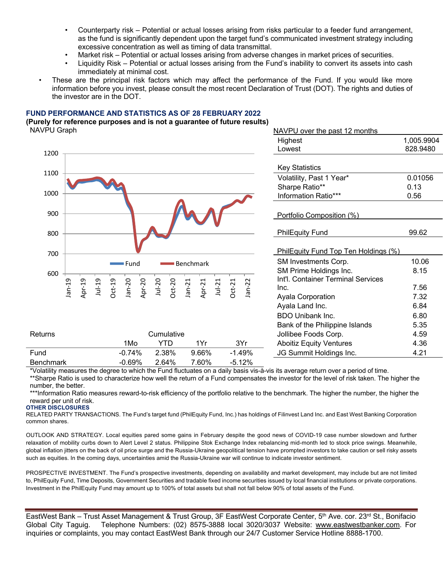- Counterparty risk Potential or actual losses arising from risks particular to a feeder fund arrangement, as the fund is significantly dependent upon the target fund's communicated investment strategy including excessive concentration as well as timing of data transmittal.
- Market risk Potential or actual losses arising from adverse changes in market prices of securities.
- Liquidity Risk Potential or actual losses arising from the Fund's inability to convert its assets into cash immediately at minimal cost.
- These are the principal risk factors which may affect the performance of the Fund. If you would like more information before you invest, please consult the most recent Declaration of Trust (DOT). The rights and duties of the investor are in the DOT.

# **FUND PERFORMANCE AND STATISTICS AS OF 28 FEBRUARY 2022**

#### **(Purely for reference purposes and is not a guarantee of future results) NAVPU Graph**



| NAVPU over the past 12 months        |            |
|--------------------------------------|------------|
| Highest                              | 1,005.9904 |
| Lowest                               | 828.9480   |
|                                      |            |
| <b>Key Statistics</b>                |            |
| Volatility, Past 1 Year*             | 0.01056    |
| Sharpe Ratio**                       | 0.13       |
| Information Ratio***                 | 0.56       |
|                                      |            |
| Portfolio Composition (%)            |            |
| <b>PhilEquity Fund</b>               | 99.62      |
| PhilEquity Fund Top Ten Holdings (%) |            |
| SM Investments Corp.                 | 10.06      |
| SM Prime Holdings Inc.               | 8.15       |
| Int'l. Container Terminal Services   |            |
| Inc.                                 | 7.56       |
| <b>Ayala Corporation</b>             | 7.32       |
| Ayala Land Inc.                      | 6.84       |
| BDO Unibank Inc.                     | 6.80       |
| Bank of the Philippine Islands       | 5.35       |
| Jollibee Foods Corp.                 | 4.59       |
| <b>Aboitiz Equity Ventures</b>       | 4.36       |
| JG Summit Holdings Inc.              | 4.21       |

\*Volatility measures the degree to which the Fund fluctuates on a daily basis vis-à-vis its average return over a period of time. \*\*Sharpe Ratio is used to characterize how well the return of a Fund compensates the investor for the level of risk taken. The higher the number, the better.

\*\*\*Information Ratio measures reward-to-risk efficiency of the portfolio relative to the benchmark. The higher the number, the higher the reward per unit of risk.

#### **OTHER DISCLOSURES**

RELATED PARTY TRANSACTIONS. The Fund's target fund (PhilEquity Fund, Inc.) has holdings of Filinvest Land Inc. and East West Banking Corporation common shares.

OUTLOOK AND STRATEGY. Local equities pared some gains in February despite the good news of COVID-19 case number slowdown and further relaxation of mobility curbs down to Alert Level 2 status. Philippine Stok Exchange Index rebalancing mid-month led to stock price swings. Meanwhile, global inflation jitters on the back of oil price surge and the Russia-Ukraine geopolitical tension have prompted investors to take caution or sell risky assets such as equities. In the coming days, uncertainties amid the Russia-Ukraine war will continue to indicate investor sentiment.

PROSPECTIVE INVESTMENT. The Fund's prospective investments, depending on availability and market development, may include but are not limited to, PhilEquity Fund, Time Deposits, Government Securities and tradable fixed income securities issued by local financial institutions or private corporations. Investment in the PhilEquity Fund may amount up to 100% of total assets but shall not fall below 90% of total assets of the Fund.

inquiries or complaints, you may contact EastWest Bank through our 24/7 Customer Service Hotline 8888-1700. EastWest Bank – Trust Asset Management & Trust Group, 3F EastWest Corporate Center, 5<sup>th</sup> Ave. cor. 23<sup>rd</sup> St., Bonifacio Global City Taguig. Telephone Numbers: (02) 8575-3888 local 3020/3037 Website: www.eastwestbanker.com. For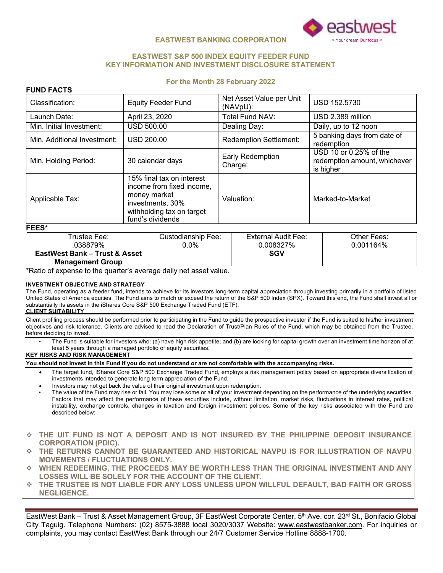

#### **EASTWEST S&P 500 INDEX EQUITY FEEDER FUND KEY INFORMATION AND INVESTMENT DISCLOSURE STATEMENT**

#### **For the Month 28 February 2022**

| Classification:                                                                                                                                                | <b>Equity Feeder Fund</b> | Net Asset Value per Unit<br>(NAVpU): | USD 152.5730                                                        |  |
|----------------------------------------------------------------------------------------------------------------------------------------------------------------|---------------------------|--------------------------------------|---------------------------------------------------------------------|--|
| Launch Date:                                                                                                                                                   | April 23, 2020            | Total Fund NAV:                      | USD 2.389 million                                                   |  |
| Min. Initial Investment:                                                                                                                                       | <b>USD 500.00</b>         | Dealing Day:                         | Daily, up to 12 noon                                                |  |
| Min. Additional Investment:                                                                                                                                    | USD 200.00                | <b>Redemption Settlement:</b>        | 5 banking days from date of<br>redemption                           |  |
| Min. Holding Period:                                                                                                                                           | 30 calendar days          | Early Redemption<br>Charge:          | USD 10 or 0.25% of the<br>redemption amount, whichever<br>is higher |  |
| 15% final tax on interest<br>income from fixed income,<br>money market<br>Applicable Tax:<br>investments, 30%<br>withholding tax on target<br>fund's dividends |                           | Valuation:                           | Marked-to-Market                                                    |  |
| FEES*                                                                                                                                                          |                           |                                      |                                                                     |  |

| Trustee Fee:                             | Custodianship Fee: | External Audit Fee: | Other Fees: |
|------------------------------------------|--------------------|---------------------|-------------|
| .038879%                                 | $0.0\%$            | 0.008327%           | 0.001164%   |
| <b>EastWest Bank – Trust &amp; Asset</b> |                    | <b>SGV</b>          |             |
| <b>Management Group</b>                  |                    |                     |             |

\*Ratio of expense to the quarter's average daily net asset value.

#### **INVESTMENT OBJECTIVE AND STRATEGY**

The Fund, operating as a feeder fund, intends to achieve for its investors long-term capital appreciation through investing primarily in a portfolio of listed United States of America equities. The Fund aims to match or exceed the return of the S&P 500 Index (SPX). Toward this end, the Fund shall invest all or substantially its assets in the iShares Core S&P 500 Exchange Traded Fund (ETF).

#### **CLIENT SUITABILITY**

**FUND FACTS**

Client profiling process should be performed prior to participating in the Fund to guide the prospective investor if the Fund is suited to his/her investment objectives and risk tolerance. Clients are advised to read the Declaration of Trust/Plan Rules of the Fund, which may be obtained from the Trustee, before deciding to invest.

• The Fund is suitable for investors who: (a) have high risk appetite; and (b) are looking for capital growth over an investment time horizon of at least 5 years through a managed portfolio of equity securities.

#### **KEY RISKS AND RISK MANAGEMENT**

#### **You should not invest in this Fund if you do not understand or are not comfortable with the accompanying risks.**

- The target fund, iShares Core S&P 500 Exchange Traded Fund, employs a risk management policy based on appropriate diversification of investments intended to generate long term appreciation of the Fund.
- Investors may not get back the value of their original investment upon redemption.
- The value of the Fund may rise or fall. You may lose some or all of your investment depending on the performance of the underlying securities. Factors that may affect the performance of these securities include, without limitation, market risks, fluctuations in interest rates, political instability, exchange controls, changes in taxation and foreign investment policies. Some of the key risks associated with the Fund are described below:
- v **THE UIT FUND IS NOT A DEPOSIT AND IS NOT INSURED BY THE PHILIPPINE DEPOSIT INSURANCE CORPORATION (PDIC).**
- v **THE RETURNS CANNOT BE GUARANTEED AND HISTORICAL NAVPU IS FOR ILLUSTRATION OF NAVPU MOVEMENTS / FLUCTUATIONS ONLY.**
- v **WHEN REDEEMING, THE PROCEEDS MAY BE WORTH LESS THAN THE ORIGINAL INVESTMENT AND ANY LOSSES WILL BE SOLELY FOR THE ACCOUNT OF THE CLIENT.**
- v **THE TRUSTEE IS NOT LIABLE FOR ANY LOSS UNLESS UPON WILLFUL DEFAULT, BAD FAITH OR GROSS NEGLIGENCE.**